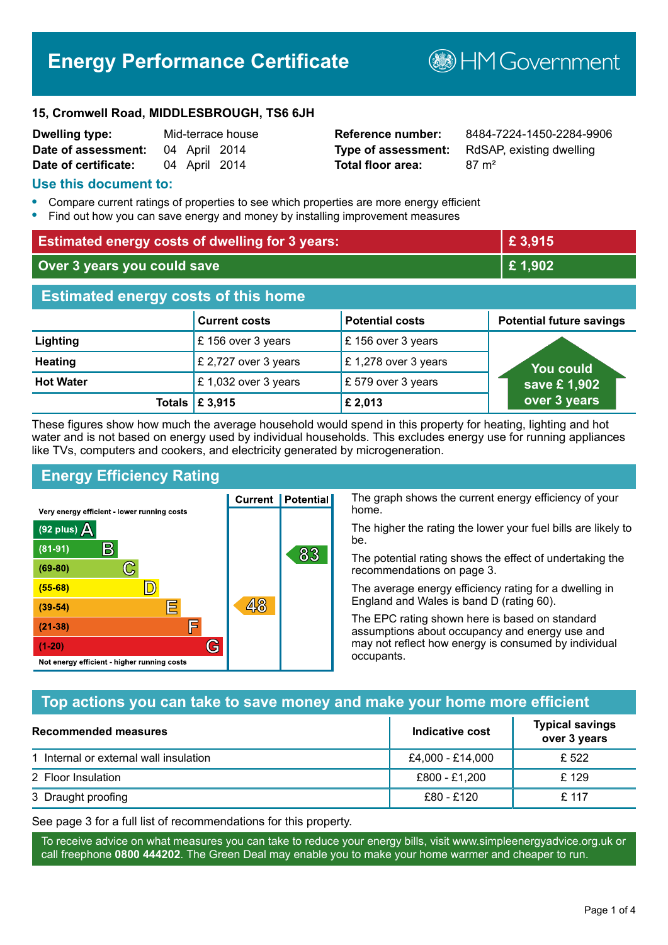# **Energy Performance Certificate**

**B**HMGovernment

#### **15, Cromwell Road, MIDDLESBROUGH, TS6 6JH**

| <b>Dwelling type:</b> |               | Mid-terrace house |
|-----------------------|---------------|-------------------|
| Date of assessment:   | 04 April 2014 |                   |
| Date of certificate:  | 04 April 2014 |                   |

# **Total floor area:** 87 m<sup>2</sup>

**Reference number:** 8484-7224-1450-2284-9906 **Type of assessment:** RdSAP, existing dwelling

#### **Use this document to:**

- **•** Compare current ratings of properties to see which properties are more energy efficient
- **•** Find out how you can save energy and money by installing improvement measures

| <b>Estimated energy costs of dwelling for 3 years:</b> |                           | £ 3,915                |                                 |
|--------------------------------------------------------|---------------------------|------------------------|---------------------------------|
| Over 3 years you could save                            |                           | £1,902                 |                                 |
| <b>Estimated energy costs of this home</b>             |                           |                        |                                 |
|                                                        | <b>Current costs</b>      | <b>Potential costs</b> | <b>Potential future savings</b> |
| Lighting                                               | £156 over 3 years         | £156 over 3 years      |                                 |
| <b>Heating</b>                                         | £ 2,727 over 3 years      | £1,278 over 3 years    | You could                       |
| <b>Hot Water</b>                                       | £1,032 over 3 years       | £ 579 over 3 years     | save £1,902                     |
|                                                        | Totals $\mathsf{E}$ 3,915 | £2,013                 | over 3 years                    |

These figures show how much the average household would spend in this property for heating, lighting and hot water and is not based on energy used by individual households. This excludes energy use for running appliances like TVs, computers and cookers, and electricity generated by microgeneration.

**Current | Potential** 

48

# **Energy Efficiency Rating**

 $\mathbb{C}$ 

 $\mathbb{D}$ 

E

庐

G

Very energy efficient - lower running costs

R

Not energy efficient - higher running costs

(92 plus)  $\Delta$ 

 $(81 - 91)$ 

 $(69 - 80)$ 

 $(55-68)$ 

 $(39 - 54)$ 

 $(21-38)$ 

 $(1-20)$ 

The graph shows the current energy efficiency of your home.

The higher the rating the lower your fuel bills are likely to be.

The potential rating shows the effect of undertaking the recommendations on page 3.

The average energy efficiency rating for a dwelling in England and Wales is band D (rating 60).

The EPC rating shown here is based on standard assumptions about occupancy and energy use and may not reflect how energy is consumed by individual occupants.

# **Top actions you can take to save money and make your home more efficient**

83

| <b>Recommended measures</b>            | Indicative cost  | <b>Typical savings</b><br>over 3 years |
|----------------------------------------|------------------|----------------------------------------|
| 1 Internal or external wall insulation | £4,000 - £14,000 | £ 522                                  |
| 2 Floor Insulation                     | £800 - £1,200    | £129                                   |
| 3 Draught proofing                     | £80 - £120       | £117                                   |

See page 3 for a full list of recommendations for this property.

To receive advice on what measures you can take to reduce your energy bills, visit www.simpleenergyadvice.org.uk or call freephone **0800 444202**. The Green Deal may enable you to make your home warmer and cheaper to run.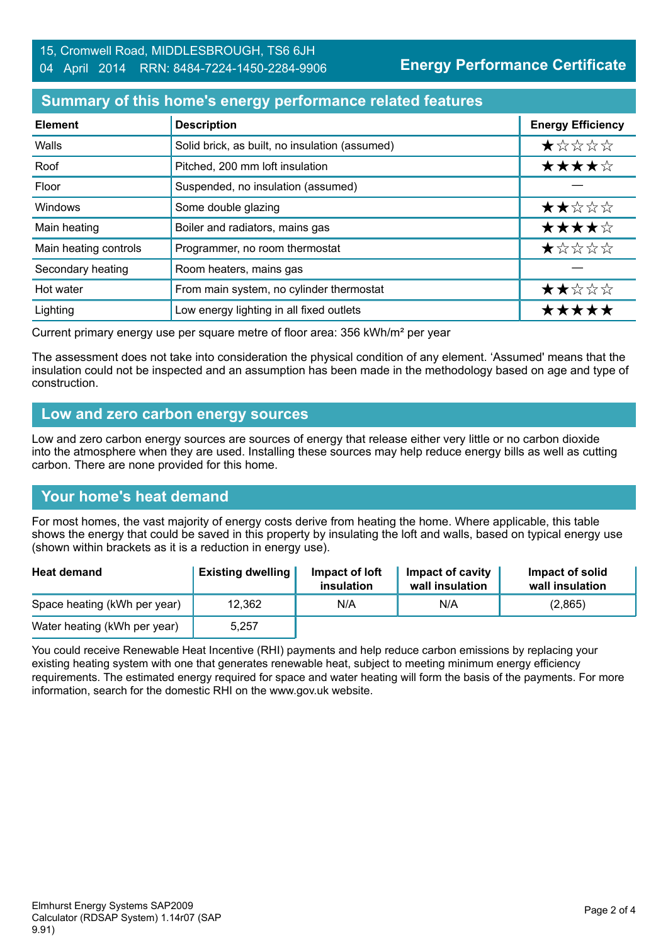### **Summary of this home's energy performance related features**

| <b>Element</b>        | <b>Description</b>                             | <b>Energy Efficiency</b> |
|-----------------------|------------------------------------------------|--------------------------|
| Walls                 | Solid brick, as built, no insulation (assumed) | $\star$ * * * *          |
| Roof                  | Pitched, 200 mm loft insulation                | ★★★★☆                    |
| Floor                 | Suspended, no insulation (assumed)             |                          |
| Windows               | Some double glazing                            | ★★☆☆☆                    |
| Main heating          | Boiler and radiators, mains gas                | ★★★★☆                    |
| Main heating controls | Programmer, no room thermostat                 | *****                    |
| Secondary heating     | Room heaters, mains gas                        |                          |
| Hot water             | From main system, no cylinder thermostat       | ★★☆☆☆                    |
| Lighting              | Low energy lighting in all fixed outlets       | *****                    |

Current primary energy use per square metre of floor area: 356 kWh/m² per year

The assessment does not take into consideration the physical condition of any element. 'Assumed' means that the insulation could not be inspected and an assumption has been made in the methodology based on age and type of construction.

#### **Low and zero carbon energy sources**

Low and zero carbon energy sources are sources of energy that release either very little or no carbon dioxide into the atmosphere when they are used. Installing these sources may help reduce energy bills as well as cutting carbon. There are none provided for this home.

#### **Your home's heat demand**

For most homes, the vast majority of energy costs derive from heating the home. Where applicable, this table shows the energy that could be saved in this property by insulating the loft and walls, based on typical energy use (shown within brackets as it is a reduction in energy use).

| <b>Heat demand</b>           | <b>Existing dwelling</b> | Impact of loft<br>insulation | Impact of cavity<br>wall insulation | Impact of solid<br>wall insulation |
|------------------------------|--------------------------|------------------------------|-------------------------------------|------------------------------------|
| Space heating (kWh per year) | 12,362                   | N/A                          | N/A                                 | (2,865)                            |
| Water heating (kWh per year) | 5.257                    |                              |                                     |                                    |

You could receive Renewable Heat Incentive (RHI) payments and help reduce carbon emissions by replacing your existing heating system with one that generates renewable heat, subject to meeting minimum energy efficiency requirements. The estimated energy required for space and water heating will form the basis of the payments. For more information, search for the domestic RHI on the www.gov.uk website.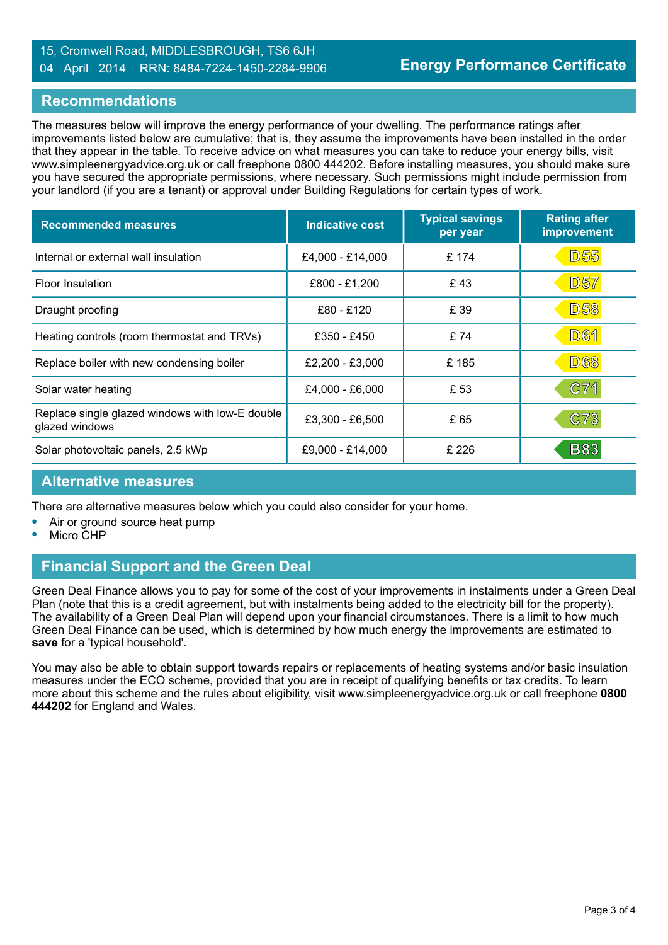#### 15, Cromwell Road, MIDDLESBROUGH, TS6 6JH 04 April 2014 RRN: 8484-7224-1450-2284-9906

#### **Recommendations**

The measures below will improve the energy performance of your dwelling. The performance ratings after improvements listed below are cumulative; that is, they assume the improvements have been installed in the order that they appear in the table. To receive advice on what measures you can take to reduce your energy bills, visit www.simpleenergyadvice.org.uk or call freephone 0800 444202. Before installing measures, you should make sure you have secured the appropriate permissions, where necessary. Such permissions might include permission from your landlord (if you are a tenant) or approval under Building Regulations for certain types of work.

| <b>Recommended measures</b>                                       | Indicative cost  | <b>Typical savings</b><br>per year | <b>Rating after</b><br>improvement |
|-------------------------------------------------------------------|------------------|------------------------------------|------------------------------------|
| Internal or external wall insulation                              | £4,000 - £14,000 | £ 174                              | <b>D55</b>                         |
| Floor Insulation                                                  | £800 - £1,200    | £43                                | <b>D57</b>                         |
| Draught proofing                                                  | £80 - £120       | £ 39                               | <b>D58</b>                         |
| Heating controls (room thermostat and TRVs)                       | £350 - £450      | £ 74                               | D61                                |
| Replace boiler with new condensing boiler                         | £2,200 - £3,000  | £185                               | <b>D68</b>                         |
| Solar water heating                                               | £4,000 - £6,000  | £ 53                               | C71                                |
| Replace single glazed windows with low-E double<br>glazed windows | £3,300 - £6,500  | £65                                | <b>C73</b>                         |
| Solar photovoltaic panels, 2.5 kWp                                | £9,000 - £14,000 | £ 226                              | <b>B83</b>                         |

#### **Alternative measures**

There are alternative measures below which you could also consider for your home.

- **•** Air or ground source heat pump
- **•** Micro CHP

# **Financial Support and the Green Deal**

Green Deal Finance allows you to pay for some of the cost of your improvements in instalments under a Green Deal Plan (note that this is a credit agreement, but with instalments being added to the electricity bill for the property). The availability of a Green Deal Plan will depend upon your financial circumstances. There is a limit to how much Green Deal Finance can be used, which is determined by how much energy the improvements are estimated to **save** for a 'typical household'.

You may also be able to obtain support towards repairs or replacements of heating systems and/or basic insulation measures under the ECO scheme, provided that you are in receipt of qualifying benefits or tax credits. To learn more about this scheme and the rules about eligibility, visit www.simpleenergyadvice.org.uk or call freephone **0800 444202** for England and Wales.